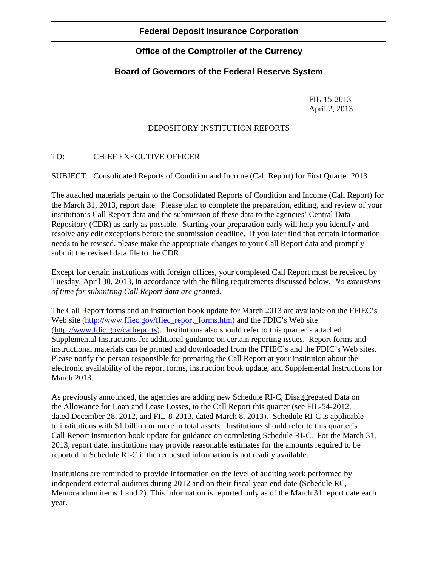# **Federal Deposit Insurance Corporation**

## **Office of the Comptroller of the Currency**

### **Board of Governors of the Federal Reserve System**

FIL-15-2013 April 2, 2013

#### DEPOSITORY INSTITUTION REPORTS

### TO: CHIEF EXECUTIVE OFFICER

#### SUBJECT: Consolidated Reports of Condition and Income (Call Report) for First Quarter 2013

The attached materials pertain to the Consolidated Reports of Condition and Income (Call Report) for the March 31, 2013, report date. Please plan to complete the preparation, editing, and review of your institution's Call Report data and the submission of these data to the agencies' Central Data Repository (CDR) as early as possible. Starting your preparation early will help you identify and resolve any edit exceptions before the submission deadline. If you later find that certain information needs to be revised, please make the appropriate changes to your Call Report data and promptly submit the revised data file to the CDR.

Except for certain institutions with foreign offices, your completed Call Report must be received by Tuesday, April 30, 2013, in accordance with the filing requirements discussed below. *No extensions of time for submitting Call Report data are granted.* 

The Call Report forms and an instruction book update for March 2013 are available on the FFIEC's Web site [\(http://www.ffiec.gov/ffiec\\_report\\_forms.htm\)](http://www.ffiec.gov/ffiec_report_forms.htm) and the FDIC's Web site [\(http://www.fdic.gov/callreports\)](http://www.fdic.gov/callreports). Institutions also should refer to this quarter's attached Supplemental Instructions for additional guidance on certain reporting issues. Report forms and instructional materials can be printed and downloaded from the FFIEC's and the FDIC's Web sites. Please notify the person responsible for preparing the Call Report at your institution about the electronic availability of the report forms, instruction book update, and Supplemental Instructions for March 2013.

As previously announced, the agencies are adding new Schedule RI-C, Disaggregated Data on the Allowance for Loan and Lease Losses, to the Call Report this quarter (see FIL-54-2012, dated December 28, 2012, and FIL-8-2013, dated March 8, 2013). Schedule RI-C is applicable to institutions with \$1 billion or more in total assets. Institutions should refer to this quarter's Call Report instruction book update for guidance on completing Schedule RI-C. For the March 31, 2013, report date, institutions may provide reasonable estimates for the amounts required to be reported in Schedule RI-C if the requested information is not readily available.

Institutions are reminded to provide information on the level of auditing work performed by independent external auditors during 2012 and on their fiscal year-end date (Schedule RC, Memorandum items 1 and 2). This information is reported only as of the March 31 report date each year.